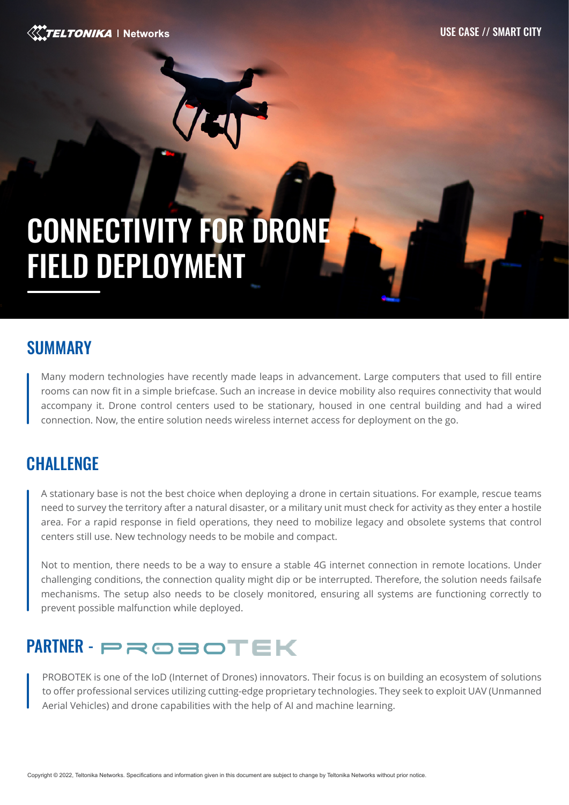USE CASE // SMART CITY

#### ELTONIKA | Networks

# CONNECTIVITY FOR DRONE FIELD DEPLOYMENT

#### SUMMARY

Many modern technologies have recently made leaps in advancement. Large computers that used to fill entire rooms can now fit in a simple briefcase. Such an increase in device mobility also requires connectivity that would accompany it. Drone control centers used to be stationary, housed in one central building and had a wired connection. Now, the entire solution needs wireless internet access for deployment on the go.

## **CHALLENGE**

A stationary base is not the best choice when deploying a drone in certain situations. For example, rescue teams need to survey the territory after a natural disaster, or a military unit must check for activity as they enter a hostile area. For a rapid response in field operations, they need to mobilize legacy and obsolete systems that control centers still use. New technology needs to be mobile and compact.

Not to mention, there needs to be a way to ensure a stable 4G internet connection in remote locations. Under challenging conditions, the connection quality might dip or be interrupted. Therefore, the solution needs failsafe mechanisms. The setup also needs to be closely monitored, ensuring all systems are functioning correctly to prevent possible malfunction while deployed.

# PARTNER - PROBOTEK

PROBOTEK is one of the IoD (Internet of Drones) innovators. Their focus is on building an ecosystem of solutions to offer professional services utilizing cutting-edge proprietary technologies. They seek to exploit UAV (Unmanned Aerial Vehicles) and drone capabilities with the help of AI and machine learning.